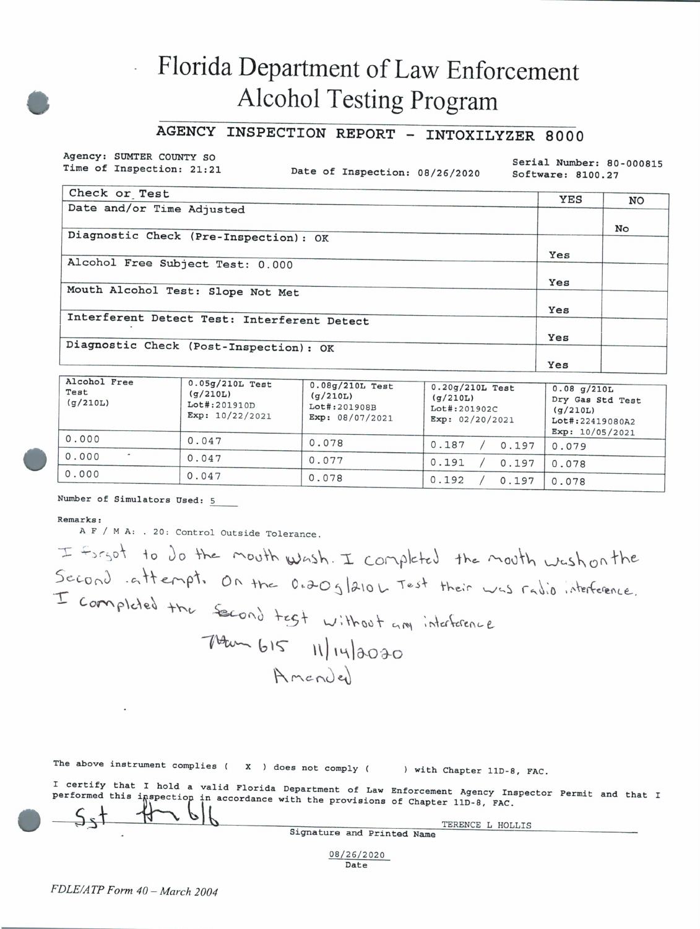# Florida Department of Law Enforcement **Alcohol Testing Program**

## AGENCY INSPECTION REPORT - INTOXILYZER 8000

Agency: SUMTER COUNTY SO Time of Inspection: 21:21

Date of Inspection: 08/26/2020

Serial Number: 80-000815 Software: 8100.27

| Check or Test                               | YES | NO |
|---------------------------------------------|-----|----|
| Date and/or Time Adjusted                   |     |    |
|                                             |     | No |
| Diagnostic Check (Pre-Inspection): OK       |     |    |
|                                             | Yes |    |
| Alcohol Free Subject Test: 0.000            |     |    |
|                                             | Yes |    |
| Mouth Alcohol Test: Slope Not Met           |     |    |
|                                             | Yes |    |
| Interferent Detect Test: Interferent Detect |     |    |
|                                             | Yes |    |
| Diagnostic Check (Post-Inspection): OK      |     |    |
|                                             | Yes |    |

| Alconol Free<br>Test<br>(g/210L) | $0.05g/210L$ Test<br>(q/210L)<br>Lot#:201910D<br>Exp: 10/22/2021 | $0.08g/210L$ Test<br>(g/210L)<br>Lot#:201908B<br>Exp: 08/07/2021 | $0.20g/210L$ Test<br>(q/210L)<br>Lot#:201902C<br>Exp: 02/20/2021 | $0.08$ g/210L<br>Dry Gas Std Test<br>(q/210L)<br>Lot#:22419080A2 |
|----------------------------------|------------------------------------------------------------------|------------------------------------------------------------------|------------------------------------------------------------------|------------------------------------------------------------------|
| 0.000                            | 0.047                                                            | 0.078                                                            |                                                                  | Exp: 10/05/2021                                                  |
| $\overline{a}$                   |                                                                  |                                                                  | 0.187<br>0.197                                                   | 0.079                                                            |
| 0.000                            | 0.047                                                            | 0.077                                                            | 0.191<br>0.197                                                   | 0.078                                                            |
| 0.000                            | 0.047                                                            | 0.078                                                            | 0.192<br>0.197                                                   | 0.078                                                            |

### Number of Simulators Used: 5

#### Remarks:

A F / M A: . 20: Control Outside Tolerance.

I forgot to do the mouth wash. I completed the mouth washon the Second attempt. On the 0.20g/210L Test their was radio interference. I completed the second test without any interference  $740 - 615$  11/14/2020 Amender

|  |  | The above instrument complies (X) does not comply ( And the complete of the control of the control of the control of the control of the control of the control of the control of the control of the control of the control of |  |  |  |  |  |  |  |  |  | ) with Chapter 11D-8, FAC. |  |  |  |
|--|--|-------------------------------------------------------------------------------------------------------------------------------------------------------------------------------------------------------------------------------|--|--|--|--|--|--|--|--|--|----------------------------|--|--|--|
|--|--|-------------------------------------------------------------------------------------------------------------------------------------------------------------------------------------------------------------------------------|--|--|--|--|--|--|--|--|--|----------------------------|--|--|--|

I certify that I hold a valid Florida Department of Law Enforcement Agency Inspector Permit and that I performed this inspection in accordance with the provisions of Chapter 11D-8, FAC.

> TERENCE L HOLLIS Signature and Printed Name

08/26/2020 Date